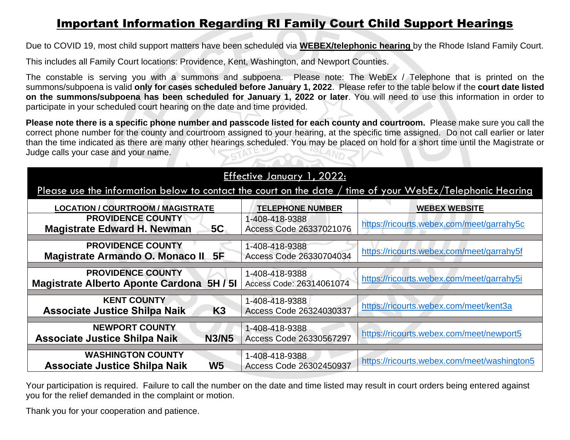## Important Information Regarding RI Family Court Child Support Hearings

Due to COVID 19, most child support matters have been scheduled via **WEBEX/telephonic hearing** by the Rhode Island Family Court.

This includes all Family Court locations: Providence, Kent, Washington, and Newport Counties.

The constable is serving you with a summons and subpoena. Please note: The WebEx / Telephone that is printed on the summons/subpoena is valid **only for cases scheduled before January 1, 2022**. Please refer to the table below if the **court date listed on the summons/subpoena has been scheduled for January 1, 2022 or later**. You will need to use this information in order to participate in your scheduled court hearing on the date and time provided.

**Please note there is a specific phone number and passcode listed for each county and courtroom.** Please make sure you call the correct phone number for the county and courtroom assigned to your hearing, at the specific time assigned. Do not call earlier or later than the time indicated as there are many other hearings scheduled. You may be placed on hold for a short time until the Magistrate or Judge calls your case and your name.  $\sum_{i=1}^n$ 

| Effective January 1, 2022:                                                                                |                                            |                                             |  |
|-----------------------------------------------------------------------------------------------------------|--------------------------------------------|---------------------------------------------|--|
| Please use the information below to contact the court on the date / time of your WebEx/Telephonic Hearing |                                            |                                             |  |
| <b>LOCATION / COURTROOM / MAGISTRATE</b>                                                                  | <b>TELEPHONE NUMBER</b>                    | <b>WEBEX WEBSITE</b>                        |  |
| <b>PROVIDENCE COUNTY</b><br>5C<br><b>Magistrate Edward H. Newman</b>                                      | 1-408-418-9388<br>Access Code 26337021076  | https://ricourts.webex.com/meet/garrahy5c   |  |
| <b>PROVIDENCE COUNTY</b><br>5F<br>Magistrate Armando O. Monaco II                                         | 1-408-418-9388<br>Access Code 26330704034  | https://ricourts.webex.com/meet/garrahy5f   |  |
| <b>PROVIDENCE COUNTY</b><br>5H/5I<br><b>Magistrate Alberto Aponte Cardona</b>                             | 1-408-418-9388<br>Access Code: 26314061074 | https://ricourts.webex.com/meet/garrahy5i   |  |
| <b>KENT COUNTY</b><br>K <sub>3</sub><br><b>Associate Justice Shilpa Naik</b>                              | 1-408-418-9388<br>Access Code 26324030337  | https://ricourts.webex.com/meet/kent3a      |  |
| <b>NEWPORT COUNTY</b><br><b>N3/N5</b><br><b>Associate Justice Shilpa Naik</b>                             | 1-408-418-9388<br>Access Code 26330567297  | https://ricourts.webex.com/meet/newport5    |  |
| <b>WASHINGTON COUNTY</b><br><b>W5</b><br><b>Associate Justice Shilpa Naik</b>                             | 1-408-418-9388<br>Access Code 26302450937  | https://ricourts.webex.com/meet/washington5 |  |

Your participation is required. Failure to call the number on the date and time listed may result in court orders being entered against you for the relief demanded in the complaint or motion.

Thank you for your cooperation and patience.